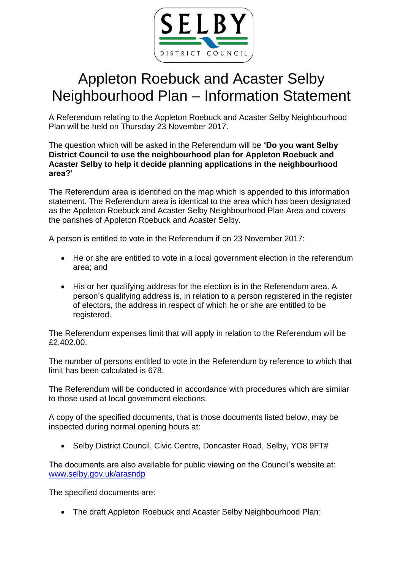

## Appleton Roebuck and Acaster Selby Neighbourhood Plan – Information Statement

A Referendum relating to the Appleton Roebuck and Acaster Selby Neighbourhood Plan will be held on Thursday 23 November 2017.

The question which will be asked in the Referendum will be **'Do you want Selby District Council to use the neighbourhood plan for Appleton Roebuck and Acaster Selby to help it decide planning applications in the neighbourhood area?'**

The Referendum area is identified on the map which is appended to this information statement. The Referendum area is identical to the area which has been designated as the Appleton Roebuck and Acaster Selby Neighbourhood Plan Area and covers the parishes of Appleton Roebuck and Acaster Selby.

A person is entitled to vote in the Referendum if on 23 November 2017:

- He or she are entitled to vote in a local government election in the referendum area; and
- His or her qualifying address for the election is in the Referendum area. A person's qualifying address is, in relation to a person registered in the register of electors, the address in respect of which he or she are entitled to be registered.

The Referendum expenses limit that will apply in relation to the Referendum will be £2,402.00.

The number of persons entitled to vote in the Referendum by reference to which that limit has been calculated is 678.

The Referendum will be conducted in accordance with procedures which are similar to those used at local government elections.

A copy of the specified documents, that is those documents listed below, may be inspected during normal opening hours at:

Selby District Council, Civic Centre, Doncaster Road, Selby, YO8 9FT#

The documents are also available for public viewing on the Council's website at: [www.selby.gov.uk/arasndp](http://www.selby.gov.uk/arasndp)

The specified documents are:

• The draft Appleton Roebuck and Acaster Selby Neighbourhood Plan;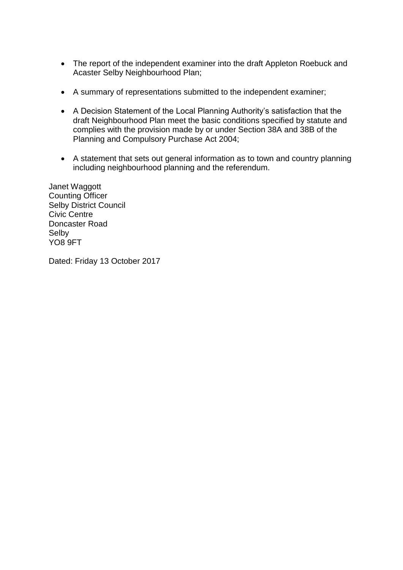- The report of the independent examiner into the draft Appleton Roebuck and Acaster Selby Neighbourhood Plan;
- A summary of representations submitted to the independent examiner;
- A Decision Statement of the Local Planning Authority's satisfaction that the draft Neighbourhood Plan meet the basic conditions specified by statute and complies with the provision made by or under Section 38A and 38B of the Planning and Compulsory Purchase Act 2004;
- A statement that sets out general information as to town and country planning including neighbourhood planning and the referendum.

Janet Waggott Counting Officer Selby District Council Civic Centre Doncaster Road Selby YO8 9FT

Dated: Friday 13 October 2017